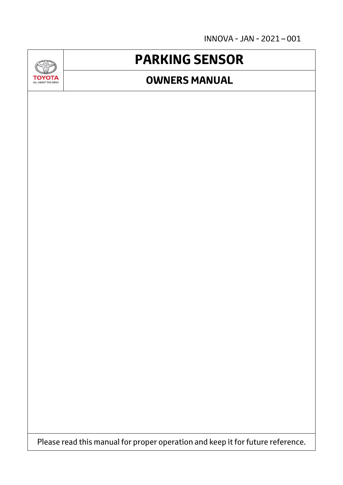INNOVA - JAN - 2021 – 001



## **PARKING SENSOR**

## **OWNERS MANUAL**

Please read this manual for proper operation and keep it for future reference.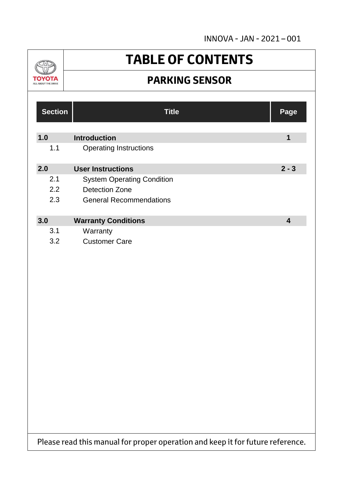INNOVA - JAN - 2021 – 001



## **TABLE OF CONTENTS**

## **PARKING SENSOR**

| <b>Section</b> | <b>Title</b>                      | Page                    |
|----------------|-----------------------------------|-------------------------|
| 1.0            | <b>Introduction</b>               | $\mathbf 1$             |
| 1.1            | <b>Operating Instructions</b>     |                         |
| 2.0            | <b>User Instructions</b>          | $2 - 3$                 |
| 2.1            | <b>System Operating Condition</b> |                         |
| 2.2            | <b>Detection Zone</b>             |                         |
| 2.3            | <b>General Recommendations</b>    |                         |
| 3.0            | <b>Warranty Conditions</b>        | $\overline{\mathbf{4}}$ |
| 3.1            | Warranty                          |                         |
| 3.2            | <b>Customer Care</b>              |                         |
|                |                                   |                         |
|                |                                   |                         |
|                |                                   |                         |
|                |                                   |                         |
|                |                                   |                         |

Please read this manual for proper operation and keep it for future reference.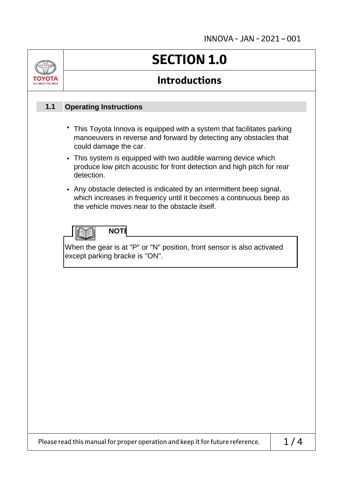|     | <b>SECTION 1.0</b><br><b>Introductions</b><br><b>Operating Instructions</b>                                                                                                                                                                                                                                                                             |  |  |
|-----|---------------------------------------------------------------------------------------------------------------------------------------------------------------------------------------------------------------------------------------------------------------------------------------------------------------------------------------------------------|--|--|
|     |                                                                                                                                                                                                                                                                                                                                                         |  |  |
| 1.1 |                                                                                                                                                                                                                                                                                                                                                         |  |  |
|     | • This Toyota Innova is equipped with a system that facilitates parking<br>manoeuvers in reverse and forward by detecting any obstacles that<br>could damage the car.                                                                                                                                                                                   |  |  |
|     | • This system is equipped with two audible warning device which<br>produce low pitch acoustic for front detection and high pitch for rear<br>detection.<br>• Any obstacle detected is indicated by an intermittent beep signal,<br>which increases in frequency until it becomes a continuous beep as<br>the vehicle moves near to the obstacle itself. |  |  |
|     |                                                                                                                                                                                                                                                                                                                                                         |  |  |
|     | <b>NOTE</b><br>When the gear is at "P" or "N" position, front sensor is also activated<br>except parking bracke is "ON".                                                                                                                                                                                                                                |  |  |
|     |                                                                                                                                                                                                                                                                                                                                                         |  |  |
|     |                                                                                                                                                                                                                                                                                                                                                         |  |  |
|     |                                                                                                                                                                                                                                                                                                                                                         |  |  |
|     |                                                                                                                                                                                                                                                                                                                                                         |  |  |
|     |                                                                                                                                                                                                                                                                                                                                                         |  |  |
|     |                                                                                                                                                                                                                                                                                                                                                         |  |  |
|     | 1/4<br>Please read this manual for proper operation and keep it for future reference.                                                                                                                                                                                                                                                                   |  |  |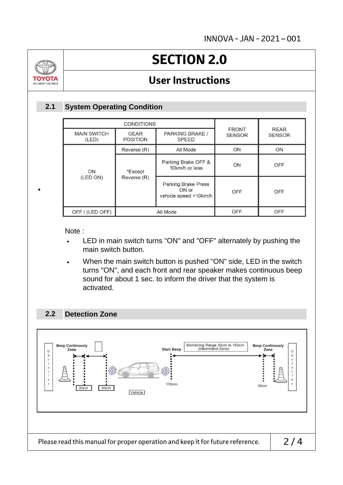

•

# **SECTION 2.0**

### **User Instructions**

### **System Operating Condition 2.1**

| <b>CONDITIONS</b>           |                                |                                                              |                               |                              |
|-----------------------------|--------------------------------|--------------------------------------------------------------|-------------------------------|------------------------------|
| <b>MAIN SWITCH</b><br>(LED) | <b>GEAR</b><br><b>POSITION</b> | PARKING BRAKE /<br><b>SPEED</b>                              | <b>FRONT</b><br><b>SENSOR</b> | <b>REAR</b><br><b>SENSOR</b> |
|                             | Reverse (R)                    | All Mode                                                     | ON                            | ON                           |
| ON                          | *Except<br>Reverse (R)         | Parking Brake OFF &<br>10km/h or less                        | ON                            | <b>OFF</b>                   |
| (LED ON)                    |                                | <b>Parking Brake Press</b><br>ON or<br>vehicle speed >10km/h | OFF                           | <b>OFF</b>                   |
| OFF / (LED OFF)             | All Mode                       |                                                              | <b>OFF</b>                    | <b>OFF</b>                   |

Note :

- LED in main switch turns "ON" and "OFF" alternately by pushing the main switch button.
- When the main switch button is pushed "ON" side, LED in the switch turns "ON", and each front and rear speaker makes continuous beep sound for about 1 sec. to inform the driver that the system is activated.

#### **Detection Zone 2.2**

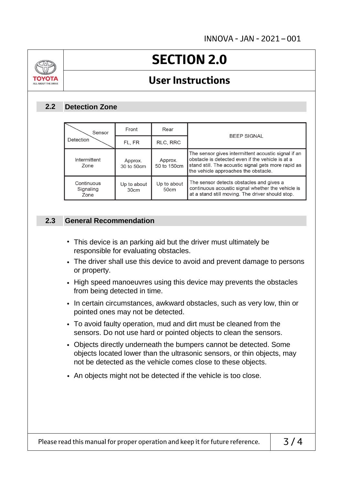

# **SECTION 2.0**

### **User Instructions**

### **Detection Zone 2.2**

| Sensor                          | Front                 | Rear                   | <b>BEEP SIGNAL</b>                                                                                                                                                                                     |  |
|---------------------------------|-----------------------|------------------------|--------------------------------------------------------------------------------------------------------------------------------------------------------------------------------------------------------|--|
| Detection                       | FL, FR                | RLC, RRC               |                                                                                                                                                                                                        |  |
| Intermittent<br>Zone            | Approx.<br>30 to 50cm | Approx.<br>50 to 150cm | The sensor gives intermittent acoustic signal if an<br>obstacle is detected even if the vehicle is at a<br>stand still. The acoustic signal gets more rapid as<br>the vehicle approaches the obstacle. |  |
| Continuous<br>Signaling<br>Zone | Up to about<br>30cm   | Up to about<br>50cm    | The sensor detects obstacles and gives a<br>continuous acoustic signal whether the vehicle is<br>at a stand still moving. The driver should stop.                                                      |  |

### **General Recommendation 2.3**

- This device is an parking aid but the driver must ultimately be responsible for evaluating obstacles.
- The driver shall use this device to avoid and prevent damage to persons or property.
- High speed manoeuvres using this device may prevents the obstacles from being detected in time.
- In certain circumstances, awkward obstacles, such as very low, thin or pointed ones may not be detected.
- To avoid faulty operation, mud and dirt must be cleaned from the sensors. Do not use hard or pointed objects to clean the sensors.
- Objects directly underneath the bumpers cannot be detected. Some objects located lower than the ultrasonic sensors, or thin objects, may not be detected as the vehicle comes close to these objects.
- An objects might not be detected if the vehicle is too close.